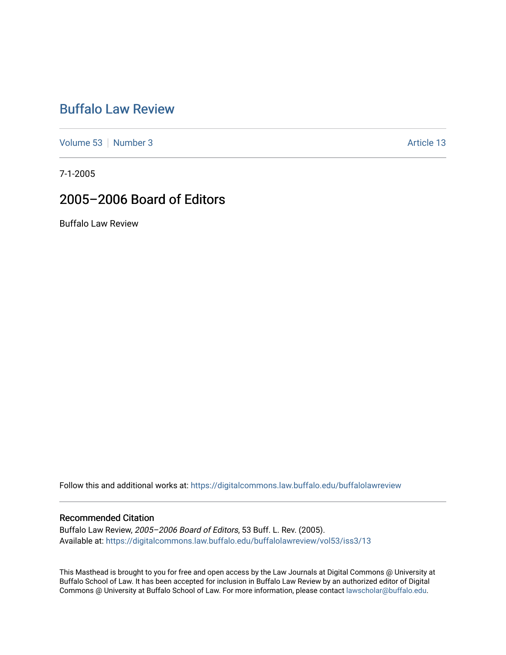## [Buffalo Law Review](https://digitalcommons.law.buffalo.edu/buffalolawreview)

[Volume 53](https://digitalcommons.law.buffalo.edu/buffalolawreview/vol53) [Number 3](https://digitalcommons.law.buffalo.edu/buffalolawreview/vol53/iss3) Article 13

7-1-2005

## 2005–2006 Board of Editors

Buffalo Law Review

Follow this and additional works at: [https://digitalcommons.law.buffalo.edu/buffalolawreview](https://digitalcommons.law.buffalo.edu/buffalolawreview?utm_source=digitalcommons.law.buffalo.edu%2Fbuffalolawreview%2Fvol53%2Fiss3%2F13&utm_medium=PDF&utm_campaign=PDFCoverPages) 

### Recommended Citation

Buffalo Law Review, 2005–2006 Board of Editors, 53 Buff. L. Rev. (2005). Available at: [https://digitalcommons.law.buffalo.edu/buffalolawreview/vol53/iss3/13](https://digitalcommons.law.buffalo.edu/buffalolawreview/vol53/iss3/13?utm_source=digitalcommons.law.buffalo.edu%2Fbuffalolawreview%2Fvol53%2Fiss3%2F13&utm_medium=PDF&utm_campaign=PDFCoverPages)

This Masthead is brought to you for free and open access by the Law Journals at Digital Commons @ University at Buffalo School of Law. It has been accepted for inclusion in Buffalo Law Review by an authorized editor of Digital Commons @ University at Buffalo School of Law. For more information, please contact [lawscholar@buffalo.edu](mailto:lawscholar@buffalo.edu).